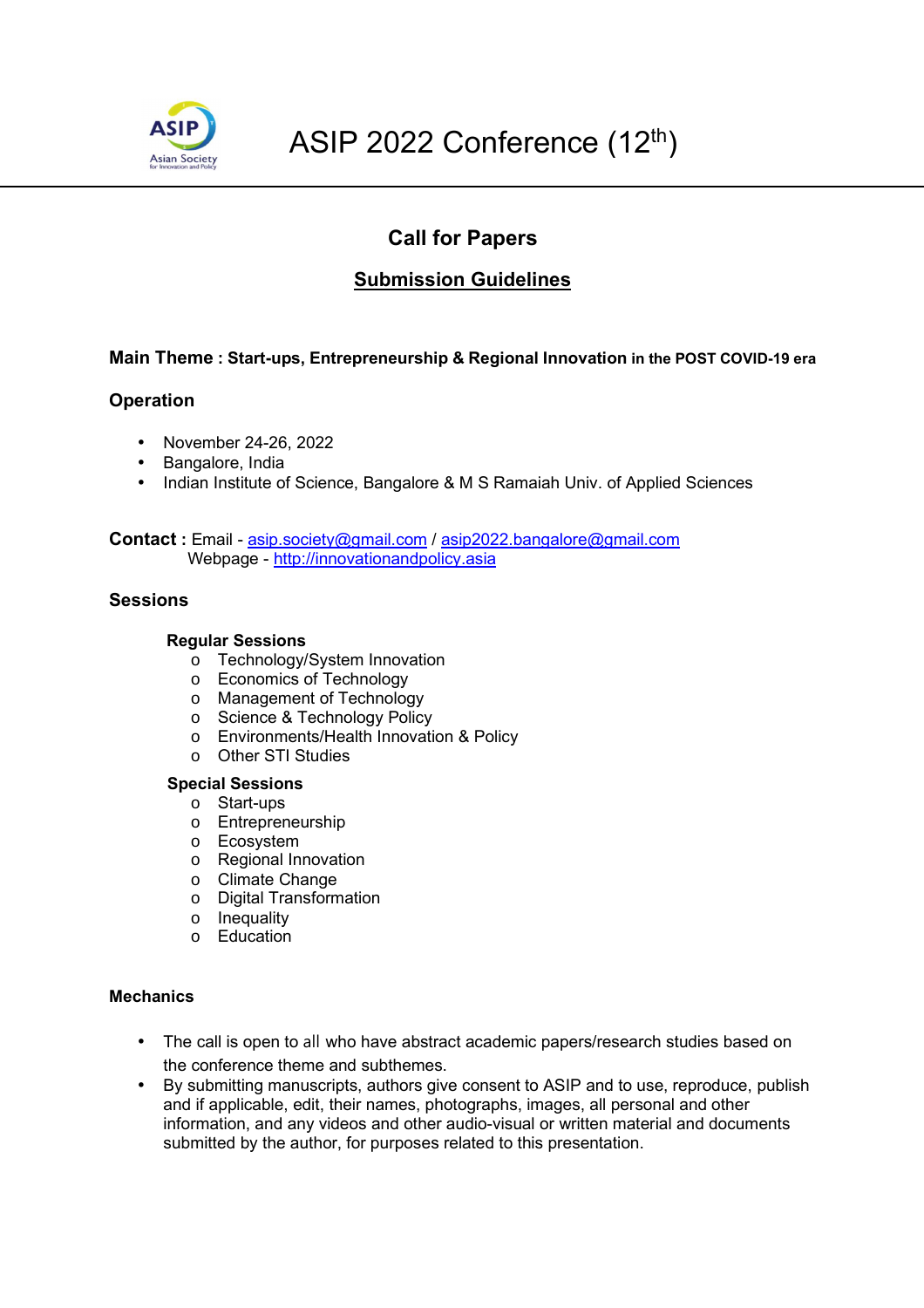

# **Call for Papers**

# **Submission Guidelines**

## **Main Theme : Start-ups, Entrepreneurship & Regional Innovation in the POST COVID-19 era**

## **Operation**

- November 24-26, 2022
- Bangalore, India
- Indian Institute of Science, Bangalore & M S Ramaiah Univ. of Applied Sciences

**Contact :** Email - asip.society@gmail.com / asip2022.bangalore@gmail.com Webpage - http://innovationandpolicy.asia

#### **Sessions**

#### **Regular Sessions**

- o Technology/System Innovation
- o Economics of Technology
- o Management of Technology
- o Science & Technology Policy
- o Environments/Health Innovation & Policy
- o Other STI Studies

#### **Special Sessions**

- o Start-ups
- o Entrepreneurship
- o Ecosystem
- o Regional Innovation
- o Climate Change
- o Digital Transformation
- o Inequality
- o Education

#### **Mechanics**

- The call is open to all who have abstract academic papers/research studies based on the conference theme and subthemes.
- By submitting manuscripts, authors give consent to ASIP and to use, reproduce, publish and if applicable, edit, their names, photographs, images, all personal and other information, and any videos and other audio-visual or written material and documents submitted by the author, for purposes related to this presentation.